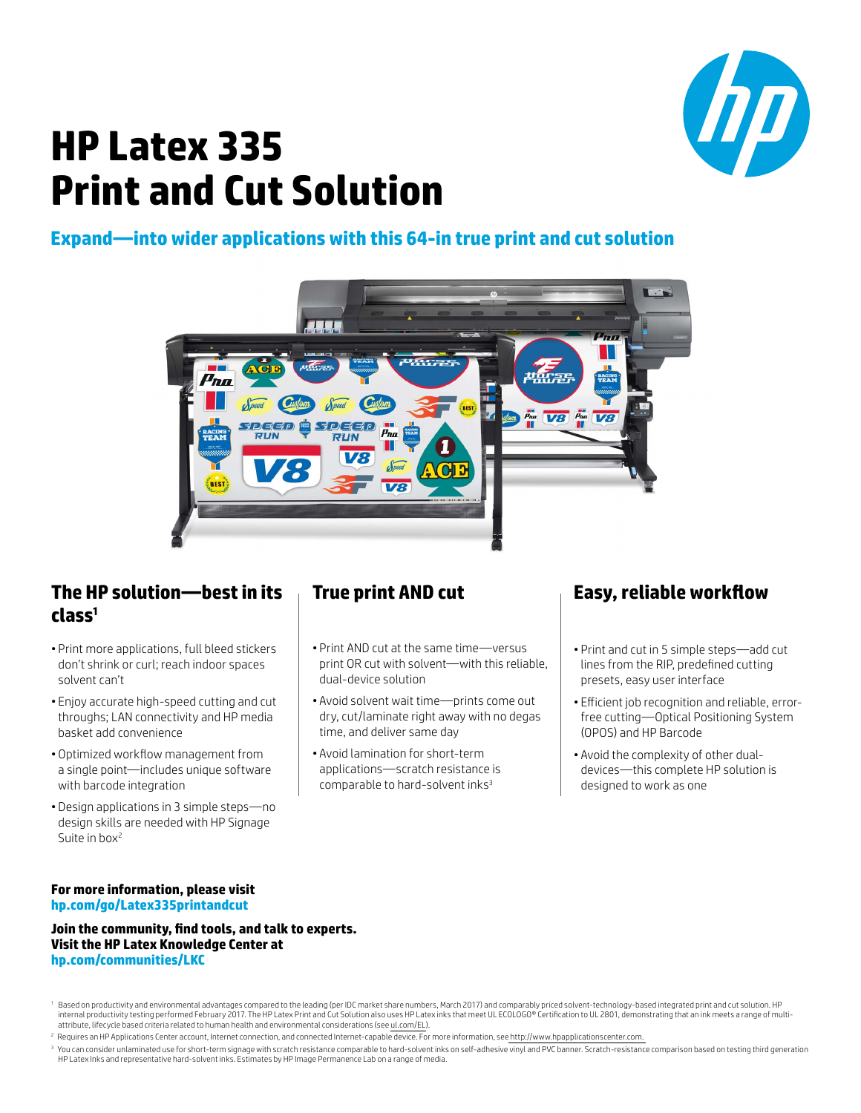

# **HP Latex 335 Print and Cut Solution**

### **Expand—into wider applications with this 64-in true print and cut solution**



#### **The HP solution—best in its class1**

- Print more applications, full bleed stickers don't shrink or curl; reach indoor spaces solvent can't
- Enjoy accurate high-speed cutting and cut throughs; LAN connectivity and HP media basket add convenience
- Optimized workflow management from a single point—includes unique software with barcode integration
- Design applications in 3 simple steps—no design skills are needed with HP Signage Suite in box<sup>2</sup>

## **True print AND cut**

- Print AND cut at the same time—versus print OR cut with solvent—with this reliable, dual-device solution
- Avoid solvent wait time—prints come out dry, cut/laminate right away with no degas time, and deliver same day
- Avoid lamination for short-term applications—scratch resistance is comparable to hard-solvent inks<sup>3</sup>

# **Easy, reliable workflow**

- Print and cut in 5 simple steps—add cut lines from the RIP, predefined cutting presets, easy user interface
- Efficient job recognition and reliable, errorfree cutting—Optical Positioning System (OPOS) and HP Barcode
- Avoid the complexity of other dualdevices—this complete HP solution is designed to work as one

#### **For more information, please visit hp.com/go/Latex335printandcut**

**Join the community, find tools, and talk to experts. Visit the HP Latex Knowledge Center at hp.com/communities/LKC**

<sup>3</sup> You can consider unlaminated use for short-term signage with scratch resistance comparable to hard-solvent inks on self-adhesive vinyl and PVC banner. Scratch-resistance comparison based on testing third generation HP Latex Inks and representative hard-solvent inks. Estimates by HP Image Permanence Lab on a range of media.

<sup>&</sup>lt;sup>1</sup> Based on productivity and environmental advantages compared to the leading (per IDC market share numbers, March 2017) and comparably priced solvent-technology-based integrated print and cut solution. HP internal productivity testing performed February 2017. The HP Latex Print and Cut Solution also uses HP Latex inks that meet UL ECOLOGO® Certification to UL 2801, demonstrating that an ink meets a range of multiattribute, lifecycle based criteria related to human health and environmental considerations (see ul.com/EL).

<sup>&</sup>lt;sup>2</sup> Requires an HP Applications Center account, Internet connection, and connected Internet-capable device. For more information, see http://www.hpapplicationscenter.com.